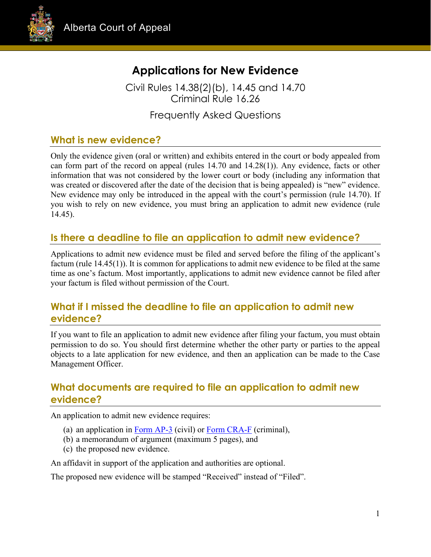



# **Applications for New Evidence**

Civil Rules 14.38(2)(b), 14.45 and 14.70 Criminal Rule 16.26

Frequently Asked Questions

# **What is new evidence?**

Only the evidence given (oral or written) and exhibits entered in the court or body appealed from can form part of the record on appeal (rules 14.70 and 14.28(1)). Any evidence, facts or other information that was not considered by the lower court or body (including any information that was created or discovered after the date of the decision that is being appealed) is "new" evidence. New evidence may only be introduced in the appeal with the court's permission (rule 14.70). If you wish to rely on new evidence, you must bring an application to admit new evidence (rule 14.45).

## **Is there a deadline to file an application to admit new evidence?**

Applications to admit new evidence must be filed and served before the filing of the applicant's factum (rule 14.45(1)). It is common for applications to admit new evidence to be filed at the same time as one's factum. Most importantly, applications to admit new evidence cannot be filed after your factum is filed without permission of the Court.

### **What if I missed the deadline to file an application to admit new evidence?**

If you want to file an application to admit new evidence after filing your factum, you must obtain permission to do so. You should first determine whether the other party or parties to the appeal objects to a late application for new evidence, and then an application can be made to the Case Management Officer.

## **What documents are required to file an application to admit new evidence?**

An application to admit new evidence requires:

- (a) an application in [Form AP-3](https://www.albertacourts.ca/docs/default-source/ca/form-ap-3---application.docx?sfvrsn=dcdada80_2) (civil) or [Form CRA-F](https://www.albertacourts.ca/docs/default-source/ca/cra-f.docx?sfvrsn=d69ea780_0) (criminal),
- (b) a memorandum of argument (maximum 5 pages), and
- (c) the proposed new evidence.

An affidavit in support of the application and authorities are optional.

The proposed new evidence will be stamped "Received" instead of "Filed".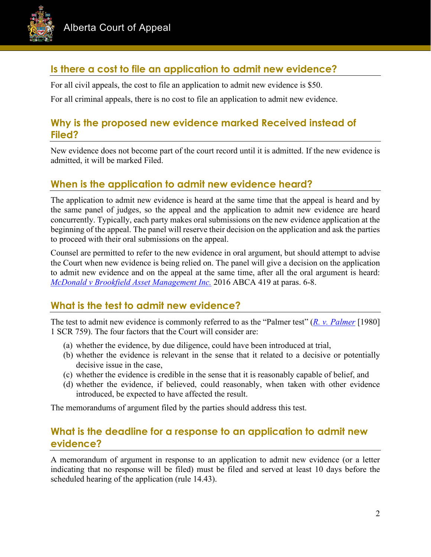

# **Is there a cost to file an application to admit new evidence?**

For all civil appeals, the cost to file an application to admit new evidence is \$50.

For all criminal appeals, there is no cost to file an application to admit new evidence.

### **Why is the proposed new evidence marked Received instead of Filed?**

New evidence does not become part of the court record until it is admitted. If the new evidence is admitted, it will be marked Filed.

#### **When is the application to admit new evidence heard?**

The application to admit new evidence is heard at the same time that the appeal is heard and by the same panel of judges, so the appeal and the application to admit new evidence are heard concurrently. Typically, each party makes oral submissions on the new evidence application at the beginning of the appeal. The panel will reserve their decision on the application and ask the parties to proceed with their oral submissions on the appeal.

Counsel are permitted to refer to the new evidence in oral argument, but should attempt to advise the Court when new evidence is being relied on. The panel will give a decision on the application to admit new evidence and on the appeal at the same time, after all the oral argument is heard: *[McDonald v Brookfield Asset Management Inc.](https://www.canlii.org/en/ab/abca/doc/2016/2016abca419/2016abca419.pdf)* 2016 ABCA 419 at paras. 6-8.

#### **What is the test to admit new evidence?**

The test to admit new evidence is commonly referred to as the "Palmer test" (*[R. v. Palmer](http://www.canlii.org/en/ca/scc/doc/1979/1979canlii8/1979canlii8.pdf)* [1980] 1 SCR 759). The four factors that the Court will consider are:

- (a) whether the evidence, by due diligence, could have been introduced at trial,
- (b) whether the evidence is relevant in the sense that it related to a decisive or potentially decisive issue in the case,
- (c) whether the evidence is credible in the sense that it is reasonably capable of belief, and
- (d) whether the evidence, if believed, could reasonably, when taken with other evidence introduced, be expected to have affected the result.

The memorandums of argument filed by the parties should address this test.

### **What is the deadline for a response to an application to admit new evidence?**

A memorandum of argument in response to an application to admit new evidence (or a letter indicating that no response will be filed) must be filed and served at least 10 days before the scheduled hearing of the application (rule 14.43).